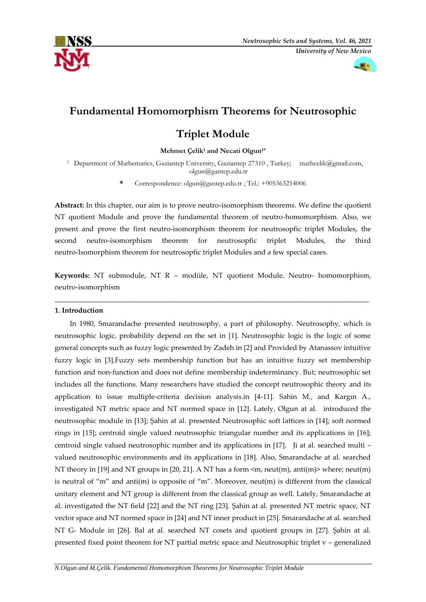



# **Fundamental Homomorphism Theorems for Neutrosophic**

# **Triplet Module**

**Mehmet Çelik<sup>1</sup> and Necati Olgun1\***

<sup>1</sup> Department of Mathematics, Gaziantep University, Gaziantep 27310, Turkey; [mathcelik@gmail.com,](mailto:mathcelik@gmail.com) [olgun@gantep.edu.tr](mailto:olgun@gantep.edu.tr)

**\*** Correspondence: [olgun@gantep.edu.tr](mailto:olgun@gantep.edu.tr) ; Tel.: +905363214006

**Abstract:** In this chapter, our aim is to prove neutro-isomorphism theorems. We define the quotient NT quotient Module and prove the fundamental theorem of neutro-homomorphism. Also, we present and prove the first neutro-isomorphism theorem for neutrosopfic triplet Modules, the second neutro-isomorphism theorem for neutrosopfic triplet Modules, the third neutro-Isomorphism theorem for neutrosopfic triplet Modules and a few special cases.

**Keywords:** NT submodule, NT R – modüle, NT quotient Module, Neutro- homomorphism, neutro-isomorphism

**\_\_\_\_\_\_\_\_\_\_\_\_\_\_\_\_\_\_\_\_\_\_\_\_\_\_\_\_\_\_\_\_\_\_\_\_\_\_\_\_\_\_\_\_\_\_\_\_\_\_\_\_\_\_\_\_\_\_\_\_\_\_\_\_\_\_\_\_\_\_\_\_\_\_\_\_\_\_\_\_\_\_\_\_\_\_\_\_**

# **1. Introduction**

In 1980, Smarandache presented neutrosophy, a part of philosophy. Neutrosophy, which is neutrosophic logic, probability depend on the set in [1]. Neutrosophic logic is the logic of some general concepts such as fuzzy logic presented by Zadeh in [2] and Provided by Atanassov intuitive fuzzy logic in [3].Fuzzy sets membership function but has an intuitive fuzzy set membership function and non-function and does not define membership indeterminancy. But; neutrosophic set includes all the functions. Many researchers have studied the concept neutrosophic theory and its application to issue multiple-criteria decision analysis.in  $[4-11]$ . Sahin M., and Kargın A., investigated NT metric space and NT normed space in [12]. Lately, Olgun at al. introduced the neutrosophic module in [13]; Şahin at al. presented Neutrosophic soft lattices in [14]; soft normed rings in [15]; centroid single valued neutrosophic triangular number and its applications in [16]; centroid single valued neutrosophic number and its applications in [17]. Ji at al. searched multi – valued neutrosophic environments and its applications in [18]. Also, Smarandache at al. searched NT theory in [19] and NT groups in [20, 21]. A NT has a form  $\langle m, \text{neut}(m), \text{anti}(m)\rangle$  where; neut(m) is neutral of "m" and anti(m) is opposite of "m". Moreover, neut(m) is different from the classical unitary element and NT group is different from the classical group as well. Lately, Smarandache at al. investigated the NT field [22] and the NT ring [23]. Şahin at al. presented NT metric space, NT vector space and NT normed space in [24] and NT inner product in [25]. Smarandache at al. searched NT G- Module in [26]. Bal at al. searched NT cosets and quotient groups in [27]. Şahin at al. presented fixed point theorem for NT partial metric space and Neutrosophic triplet v – generalized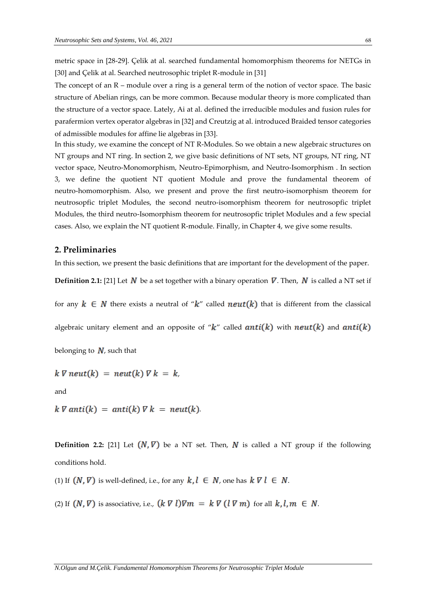metric space in [28-29]. Çelik at al. searched fundamental homomorphism theorems for NETGs in [30] and Çelik at al. Searched neutrosophic triplet R-module in [31]

The concept of an R – module over a ring is a general term of the notion of vector space. The basic structure of Abelian rings, can be more common. Because modular theory is more complicated than the structure of a vector space. Lately, Ai at al. defined the irreducible modules and fusion rules for parafermion vertex operator algebras in [32] and Creutzig at al. introduced Braided tensor categories of admissible modules for affine lie algebras in [33].

In this study, we examine the concept of NT R-Modules. So we obtain a new algebraic structures on NT groups and NT ring. In section 2, we give basic definitions of NT sets, NT groups, NT ring, NT vector space, Neutro-Monomorphism, Neutro-Epimorphism, and Neutro-Isomorphism . In section 3, we define the quotient NT quotient Module and prove the fundamental theorem of neutro-homomorphism. Also, we present and prove the first neutro-isomorphism theorem for neutrosopfic triplet Modules, the second neutro-isomorphism theorem for neutrosopfic triplet Modules, the third neutro-Isomorphism theorem for neutrosopfic triplet Modules and a few special cases. Also, we explain the NT quotient R-module. Finally, in Chapter 4, we give some results.

## **2. Preliminaries**

In this section, we present the basic definitions that are important for the development of the paper.

**Definition 2.1:** [21] Let N be a set together with a binary operation  $\nabla$ . Then, N is called a NT set if

for any  $k \in N$  there exists a neutral of " $k$ " called  $neut(k)$  that is different from the classical

algebraic unitary element and an opposite of " $k$ " called anti(k) with neut(k) and anti(k)

belonging to  $N$ , such that

 $k \nabla \text{neut}(k) = \text{neut}(k) \nabla k = k$ ,

and

 $k \nabla$  anti(k) = anti(k)  $\nabla k$  = neut(k).

**Definition 2.2:** [21] Let  $(N, \nabla)$  be a NT set. Then, N is called a NT group if the following conditions hold.

(1) If  $(N, \nabla)$  is well-defined, i.e., for any  $k, l \in N$ , one has  $k \nabla l \in N$ .

(2) If  $(N, \nabla)$  is associative, i.e.,  $(k \nabla l)\nabla m = k \nabla (l \nabla m)$  for all  $k, l, m \in N$ .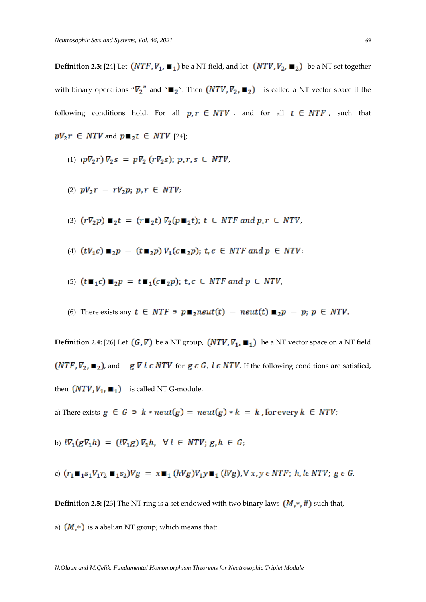**Definition 2.3:** [24] Let  $(NTF, \nabla_1, \blacksquare_1)$  be a NT field, and let  $(NTV, \nabla_2, \blacksquare_2)$  be a NT set together with binary operations " $\nabla_2$ " and " $\mathbf{r}_2$ ". Then  $(NTV, \nabla_2, \mathbf{r}_2)$  is called a NT vector space if the following conditions hold. For all  $p, r \in NTV$ , and for all  $t \in NTF$ , such that  $p\nabla_2 r \in NTV$  and  $p \blacksquare_2 t \in NTV$  [24];

- (1)  $(p\nabla_2 r)\nabla_2 s = p\nabla_2 (r\nabla_2 s); p, r, s \in NTV;$
- (2)  $p\nabla_2 r = r\nabla_2 p; p, r \in NTV;$
- (3)  $(r\nabla_2 p) \blacksquare_2 t = (r \blacksquare_2 t) \nabla_2 (p \blacksquare_2 t); t \in NTF$  and  $p, r \in NTV;$
- (4)  $(t\nabla_1 c) \blacksquare_2 p = (t \blacksquare_2 p) \nabla_1 (c \blacksquare_2 p)$ ;  $t, c \in NTF$  and  $p \in NTV$ ;
- (5)  $(t \blacksquare_1 c) \blacksquare_2 p = t \blacksquare_1 (c \blacksquare_2 p)$ ;  $t, c \in NTF$  and  $p \in NTV$ ;
- (6) There exists any  $t \in NTF \ni p \blacksquare_2neut(t) = neut(t) \blacksquare_2p = p$ ;  $p \in NTV$ .

**Definition 2.4:** [26] Let  $(G, \nabla)$  be a NT group,  $(NTV, \nabla_1, \blacksquare_1)$  be a NT vector space on a NT field  $(NTF, \nabla_2, \blacksquare_2)$ , and  $g \triangledown l \in NTV$  for  $g \in G$ ,  $l \in NTV$ . If the following conditions are satisfied, then  $(NTV, V_1, \blacksquare_1)$  is called NT G-module.

- a) There exists  $g \in G \ni k \cdot \text{neut}(g) = \text{neut}(g) \cdot k = k$ , for every  $k \in \text{NTV}$ ;
- b)  $l\nabla_1(g\nabla_1h) = (l\nabla_1g)\nabla_1h$ ,  $\forall l \in NTV$ ;  $g, h \in G$ ;

c) 
$$
(r_1 \blacksquare_1 s_1 V_1 r_2 \blacksquare_1 s_2) V g = x \blacksquare_1 (hVg) V_1 y \blacksquare_1 (lVg), \forall x, y \in NTF; h, l \in NTV; g \in G.
$$

**Definition 2.5:** [23] The NT ring is a set endowed with two binary laws  $(M, *, #)$  such that,

a)  $(M,*)$  is a abelian NT group; which means that:

*N.Olgun and M.Çelik. Fundamental Homomorphism Theorems for Neutrosophic Triplet Module*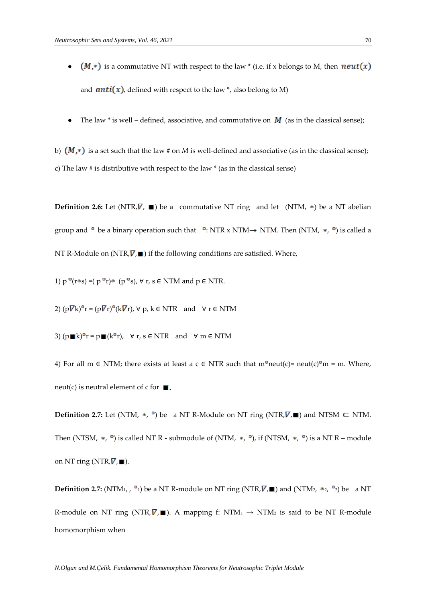- $\bullet$   $(M,*)$  is a commutative NT with respect to the law \* (i.e. if x belongs to M, then  $neut(x)$ and  $anti(x)$ , defined with respect to the law \*, also belong to M)
- The law \* is well defined, associative, and commutative on  $M$  (as in the classical sense);

b)  $(M,*)$  is a set such that the law # on *M* is well-defined and associative (as in the classical sense); c) The law # is distributive with respect to the law \* (as in the classical sense)

**Definition 2.6:** Let  $(NTR, \nabla, \blacksquare)$  be a commutative NT ring and let  $(NTM, *)$  be a NT abelian group and  $\circ$  be a binary operation such that  $\circ$ : NTR x NTM  $\rightarrow$  NTM. Then (NTM,  $\ast$ ,  $\circ$ ) is called a NT R-Module on (NTR,  $\nabla$ ,  $\blacksquare$ ) if the following conditions are satisfied. Where,

1)  $p^o(r*s) = (p^o r)* (p^o s)$ ,  $\forall r, s \in NTM$  and  $p \in NTR$ .

2)  $(p\nabla k)^{\circ}$ r =  $(p\nabla r)^{\circ}$ (k $\nabla r$ ),  $\nabla p$ ,  $k \in NTR$  and  $\nabla r \in NTM$ 

3)  $(p \blacksquare k)^{\circ} r = p \blacksquare (k^{\circ} r)$ ,  $\forall r, s \in NTR$  and  $\forall m \in NTM$ 

4) For all m  $\in$  NTM; there exists at least a c  $\in$  NTR such that m°neut(c)= neut(c)°m = m. Where, neut(c) is neutral element of c for  $\blacksquare$ .

**Definition 2.7:** Let (NTM,  $*$ ,  $\circ$ ) be a NT R-Module on NT ring (NTR,  $\nabla$ ,  $\blacksquare$ ) and NTSM  $\subset$  NTM. Then (NTSM, \*,  $\degree$ ) is called NT R - submodule of (NTM, \*,  $\degree$ ), if (NTSM, \*,  $\degree$ ) is a NT R – module on NT ring (NTR,  $\nabla$ ,  $\blacksquare$ ).

**Definition 2.7:** (NTM<sub>1</sub>,  $\degree$ <sub>1</sub>) be a NT R-module on NT ring (NTR,  $\cancel{V}$ ,  $\blacksquare$ ) and (NTM<sub>2</sub>,  $\degree$ <sub>2</sub>,  $\degree$ <sub>2</sub>) be a NT R-module on NT ring (NTR,  $\nabla$ ,  $\blacksquare$ ). A mapping f: NTM<sub>1</sub>  $\rightarrow$  NTM<sub>2</sub> is said to be NT R-module homomorphism when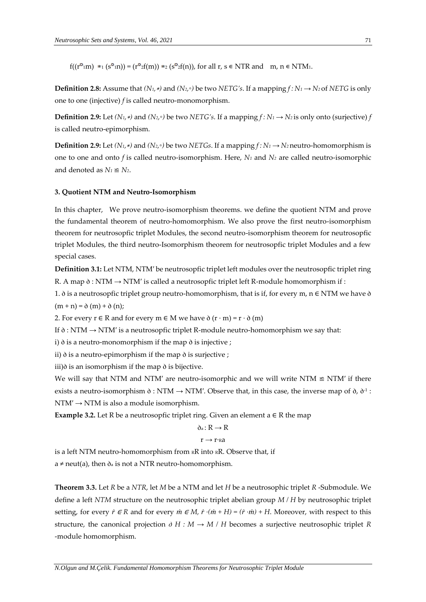$f((r^{\circ} \cdot m) *_{1} (s^{\circ} \cdot n)) = (r^{\circ} \cdot f(m)) *_{2} (s^{\circ} \cdot f(n))$ , for all  $r, s \in NTR$  and  $m, n \in NTM$ .

**Definition 2.8:** Assume that  $(N_1, *)$  and  $(N_2, \circ)$  be two *NETG's*. If a mapping  $f : N_1 \rightarrow N_2$  of *NETG* is only one to one (injective) *f* is called neutro-monomorphism.

**Definition 2.9:** Let  $(N_1, *)$  and  $(N_2, \circ)$  be two NETG's. If a mapping  $f: N_1 \rightarrow N_2$  is only onto (surjective)  $f$ is called neutro-epimorphism.

**Definition 2.9:** Let  $(N_1, *)$  and  $(N_2, \circ)$  be two *NETGs*. If a mapping  $f : N_1 \rightarrow N_2$  neutro-homomorphism is one to one and onto *f* is called neutro-isomorphism. Here, *N<sup>1</sup>* and *N<sup>2</sup>* are called neutro-isomorphic and denoted as  $N_1 \leq N_2$ .

#### **3. Quotient NTM and Neutro-Isomorphism**

In this chapter, We prove neutro-isomorphism theorems. we define the quotient NTM and prove the fundamental theorem of neutro-homomorphism. We also prove the first neutro-isomorphism theorem for neutrosopfic triplet Modules, the second neutro-isomorphism theorem for neutrosopfic triplet Modules, the third neutro-Isomorphism theorem for neutrosopfic triplet Modules and a few special cases.

**Definition 3.1:** Let NTM, NTM′ be neutrosopfic triplet left modules over the neutrosopfic triplet ring R. A map  $\delta$  : NTM  $\rightarrow$  NTM' is called a neutrosopfic triplet left R-module homomorphism if :

1.  $\delta$  is a neutrosopfic triplet group neutro-homomorphism, that is if, for every m, n  $\in$  NTM we have  $\delta$  $(m + n) = \delta(m) + \delta(n);$ 

2. For every  $r \in R$  and for every  $m \in M$  we have  $\delta(r \cdot m) = r \cdot \delta(m)$ 

If  $\delta$  : NTM  $\rightarrow$  NTM' is a neutrosopfic triplet R-module neutro-homomorphism we say that:

i)  $\delta$  is a neutro-monomorphism if the map  $\delta$  is injective;

ii)  $\delta$  is a neutro-epimorphism if the map  $\delta$  is surjective ;

iii) $\delta$  is an isomorphism if the map  $\delta$  is bijective.

We will say that NTM and NTM' are neutro-isomorphic and we will write NTM  $\cong$  NTM' if there exists a neutro-isomorphism  $\delta$  : NTM  $\rightarrow$  NTM'. Observe that, in this case, the inverse map of  $\delta$ ,  $\delta$ <sup>1</sup> :  $NTM' \rightarrow NTM$  is also a module isomorphism.

**Example 3.2.** Let R be a neutrosopfic triplet ring. Given an element  $a \in R$  the map

$$
\delta_a\colon R\to R
$$

$$
r\to r\mathord{\cdot_{\mathsf{R}}a}
$$

is a left NTM neutro-homomorphism from RR into RR. Observe that, if

 $a \neq \text{neut}(a)$ , then  $\delta_a$  is not a NTR neutro-homomorphism.

**Theorem 3.3.** Let *R* be a *NTR*, let *M* be a NTM and let *H* be a neutrosophic triplet *R* -Submodule. We define a left *NTM* structure on the neutrosophic triplet abelian group *M / H* by neutrosophic triplet setting, for every  $\dot{r} \in R$  and for every  $\dot{m} \in M$ ,  $\dot{r} \cdot (\dot{m} + H) = (\dot{r} \cdot \dot{m}) + H$ . Moreover, with respect to this structure, the canonical projection  $\partial H : M \rightarrow M / H$  becomes a surjective neutrosophic triplet *R* -module homomorphism.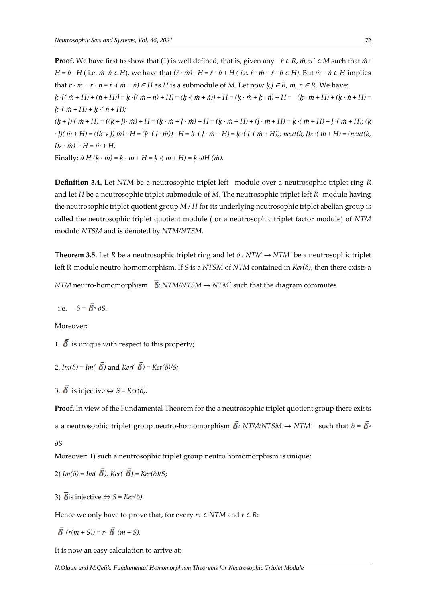**Proof.** We have first to show that (1) is well defined, that is, given any  $\dot{r} \in R$ *,*  $\dot{m}$ *,m'*  $\in M$  such that  $\dot{m}$ *+*  $H = \dot{n} + H$  (i.e.  $\dot{m} - \dot{n} \in H$ ), we have that  $(\dot{r} \cdot \dot{m}) + H = \dot{r} \cdot \dot{n} + H$  (i.e.  $\dot{r} \cdot \dot{m} - \dot{r} \cdot \dot{n} \in H$ ). But  $\dot{m} - \dot{n} \in H$  implies that  $\dot{r} \cdot \dot{m} - \dot{r} \cdot \dot{n} = \dot{r} \cdot (\dot{m} - \dot{n}) \in H$  as H is a submodule of M. Let now  $k, l \in R$ ,  $\dot{m}$ ,  $\dot{n} \in R$ . We have:  $k \cdot [(m+H)+(n+H)] = k \cdot [(m+n)+H] = (k \cdot (m+n)) + H = (k \cdot m + k \cdot n) + H = (k \cdot m + H) + (k \cdot n + H) =$  $k \cdot (m + H) + k \cdot (n + H);$  $(k+l)$ · $(m + H) = ((k + l) \cdot m) + H = (k \cdot m + l \cdot m) + H = (k \cdot m + H) + (l \cdot m + H) = k \cdot (m + H) + l \cdot (m + H)$ ; (k  $\cdot$  l)(  $\dot{m}$  + H) = ((k · R l)  $\dot{m}$ )+ H = (k · (l ·  $\dot{m}$ ))+ H = k · (l ·  $\dot{m}$  + H) = k · (l · ( $\dot{m}$  + H)); neut(k, l)  $\kappa$  · ( $\dot{m}$  + H) = (neut(k,  $l$ *)*<sub>*R*</sub>  $\cdot$  *m*<sup> $)$ </sup> + *H* = *m*<sup></sup> + *H*. Finally:  $\partial H (k \cdot \dot{m}) = k \cdot \dot{m} + H = k \cdot (m \cdot \dot{m}) = k \cdot \partial H (m).$ 

**Definition 3.4.** Let *NTM* be a neutrosophic triplet left module over a neutrosophic triplet ring *R* and let *H* be a neutrosophic triplet submodule of *M*. The neutrosophic triplet left *R* -module having the neutrosophic triplet quotient group *M / H* for its underlying neutrosophic triplet abelian group is called the neutrosophic triplet quotient module ( or a neutrosophic triplet factor module) of *NTM* modulo *NTSM* and is denoted by *NTM/NTSM.*

**Theorem 3.5.** Let *R* be a neutrosophic triplet ring and let *δ : NTM → NTM′* be a neutrosophic triplet left R-module neutro-homomorphism. If *S* is a *NTSM* of *NTM* contained in *Ker(δ)*, then there exists a

*NTM* neutro-homomorphism  $\delta$ : *NTM/NTSM*  $\rightarrow$  *NTM<sup>* $\prime$ *</sup>* such that the diagram commutes

i.e.  $\delta = \overline{\delta} \circ \partial S$ .

Moreover:

1.  $\overline{\delta}$  is unique with respect to this property;

2. 
$$
Im(\delta) = Im(\delta)
$$
 and  $Ker(\delta) = Ker(\delta)/S;$ 

3. 
$$
\delta
$$
 is injective  $\Leftrightarrow$   $S = \text{Ker}(\delta)$ .

**Proof.** In view of the Fundamental Theorem for the a neutrosophic triplet quotient group there exists a a neutrosophic triplet group neutro-homomorphism  $\overline{\delta}$ : *NTM/NTSM*  $\rightarrow$  *NTM'* such that  $\delta = \overline{\delta}$ <sup>°</sup>  $\partial S$ .

Moreover: 1) such a neutrosophic triplet group neutro homomorphism is unique;

2) 
$$
Im(\delta) = Im(\overline{\delta})
$$
,  $Ker(\overline{\delta}) = Ker(\delta)/S$ ;

3)  $\overline{\delta}$  is injective  $\Leftrightarrow$  *S* = *Ker(δ)*.

Hence we only have to prove that, for every  $m \in NTM$  and  $r \in R$ :

$$
\bar{\delta}(r(m+S))=r\cdot\bar{\delta}(m+S).
$$

It is now an easy calculation to arrive at: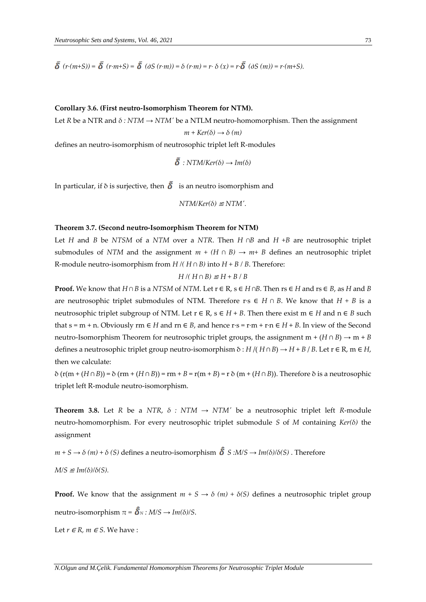$\overline{\delta}(r \cdot (m+S)) = \overline{\delta}(r \cdot m+S) = \overline{\delta}(\partial S(r \cdot m)) = \delta(r \cdot m) = r \cdot \delta(x) = r \cdot \overline{\delta}(\partial S(m)) = r \cdot (m+S).$ 

### **Corollary 3.6. (First neutro-Isomorphism Theorem for NTM).**

Let *R* be a NTR and *δ : NTM → NTM′* be a NTLM neutro-homomorphism. Then the assignment

$$
m + Ker(\delta) \rightarrow \delta (m)
$$

defines an neutro-isomorphism of neutrosophic triplet left R-modules

$$
\tilde{\delta}:NTM/Ker(\delta) \to Im(\delta)
$$

In particular, if  $\delta$  is surjective, then  $\delta$  is an neutro isomorphism and

$$
NTM/Ker(\delta) \cong NTM'.
$$

#### **Theorem 3.7. (Second neutro-Isomorphism Theorem for NTM)**

Let *H* and *B* be *NTSM* of a *NTM* over a *NTR*. Then *H ∩B* and *H +B* are neutrosophic triplet submodules of *NTM* and the assignment  $m + (H \cap B) \rightarrow m+ B$  defines an neutrosophic triplet R-module neutro-isomorphism from *H /( H ∩ B)* into *H + B / B*. Therefore:

$$
H/(H \cap B) \cong H + B / B
$$

**Proof.** We know that *H* ∩ *B* is a *NTSM* of *NTM*. Let  $r \in R$ ,  $s \in H \cap B$ . Then  $rs \in H$  and  $rs \in B$ , as *H* and *B* are neutrosophic triplet submodules of NTM. Therefore r·s ∈ *H ∩ B*. We know that *H + B* is a neutrosophic triplet subgroup of NTM. Let  $r \in R$ ,  $s \in H + B$ . Then there exist  $m \in H$  and  $n \in B$  such that  $s = m + n$ . Obviously rm  $\in H$  and rn  $\in B$ , and hence  $r \cdot s = r \cdot m + r \cdot n \in H + B$ . In view of the Second neutro-Isomorphism Theorem for neutrosophic triplet groups, the assignment m +  $(H \cap B) \to m + B$ defines a neutrosophic triplet group neutro-isomorphism  $\delta$  : *H* /( *H* ∩ *B*)  $\rightarrow$  *H* + *B* / *B*. Let r ∈ R, m ∈ *H*, then we calculate:

δ (r(m + (*H* ∩ *B*)) = δ (rm + (*H* ∩ *B*)) = rm + *B* = r(m + *B*) = r δ (m + (*H* ∩ *B*)). Therefore δ is a neutrosophic triplet left R-module neutro-isomorphism.

**Theorem 3.8.** Let *R* be a *NTR*,  $\delta$  : *NTM*  $\rightarrow$  *NTM'* be a neutrosophic triplet left *R*-module neutro-homomorphism. For every neutrosophic triplet submodule *S* of *M* containing *Ker(δ)* the assignment

*m* + *S* → *δ* (*m*) + *δ* (*S*) defines a neutro-isomorphism  $\hat{\delta}$  *S* :*M/S* → *Im*(*δ*)/*δ*(*S*). Therefore  $M/S \cong Im(δ)/δ(S)$ .

**Proof.** We know that the assignment  $m + S \rightarrow \delta$   $(m) + \delta(S)$  defines a neutrosophic triplet group neutro-isomorphism  $\pi = \hat{\delta}_N : M/S \rightarrow Im(\delta)/S$ .

Let  $r \in R$ ,  $m \in S$ . We have :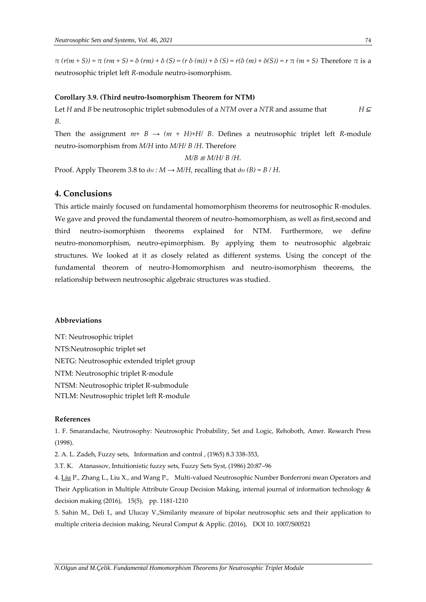*π (r(m + S)) = π (rm + S) = δ (rm) + δ (S) = (r δ (m)) + δ (S) = r(δ (m) + δ(S)) = r π (m + S)* Therefore *π* is a neutrosophic triplet left *R*-module neutro-isomorphism.

### **Corollary 3.9. (Third neutro-Isomorphism Theorem for NTM)**

Let *H* and *B* be neutrosophic triplet submodules of a *NTM* over a *NTR* and assume that *H* <sup>⊆</sup> *B*.

Then the assignment  $m+ B \rightarrow (m + H) + H/J B$ . Defines a neutrosophic triplet left *R*-module neutro-isomorphism from *M/H* into *M/H/ B /H*. Therefore

 $M/B \cong M/H/B/H$ .

Proof. Apply Theorem 3.8 to  $\partial$ <sup>*H*</sup> *: M*  $\rightarrow$  *M/H*, recalling that  $\partial$ <sup>*H*</sup> (*B*) = *B* / *H*.

## **4. Conclusions**

This article mainly focused on fundamental homomorphism theorems for neutrosophic R-modules. We gave and proved the fundamental theorem of neutro-homomorphism, as well as first, second and third neutro-isomorphism theorems explained for NTM. Furthermore, we define neutro-monomorphism, neutro-epimorphism. By applying them to neutrosophic algebraic structures. We looked at it as closely related as different systems. Using the concept of the fundamental theorem of neutro-Homomorphism and neutro-isomorphism theorems, the relationship between neutrosophic algebraic structures was studied.

#### **Abbreviations**

NT: Neutrosophic triplet NTS:Neutrosophic triplet set NETG: Neutrosophic extended triplet group NTM: Neutrosophic triplet R-module NTSM: Neutrosophic triplet R-submodule NTLM: Neutrosophic triplet left R-module

## **References**

1. F. Smarandache, Neutrosophy: Neutrosophic Probability, Set and Logic, Rehoboth, Amer. Research Press (1998).

2. A. L. Zadeh, Fuzzy sets, Information and control , (1965) 8.3 338-353,

3.T. K. Atanassov, Intuitionistic fuzzy sets, Fuzzy Sets Syst, (1986) 20:87–96

4[. Liu](https://scholar.google.com.tr/citations?user=kB0nlC0AAAAJ&hl=tr&oi=sra) P., Zhang L., Liu X., and Wang P., Multi-valued Neutrosophic Number Bonferroni mean Operators and Their Application in Multiple Attribute Group Decision Making, internal journal of information technology & decision making (2016), 15(5), pp. 1181-1210

5. Sahin M., Deli I., and Ulucay V.,Similarity measure of bipolar neutrosophic sets and their application to multiple criteria decision making, Neural Comput & Applic. (2016), DOI 10. 1007/S00521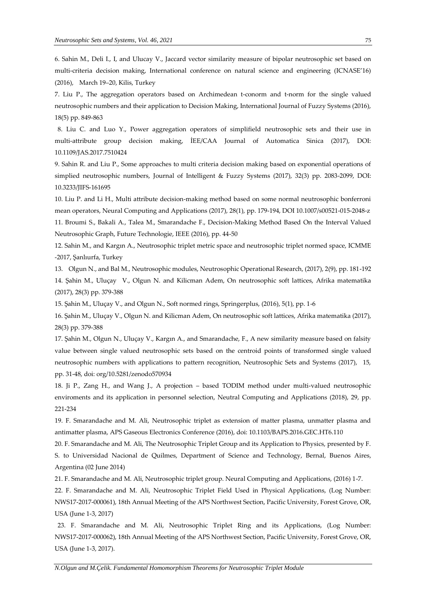6. Sahin M., Deli I., I, and Ulucay V., Jaccard vector similarity measure of bipolar neutrosophic set based on multi-criteria decision making, International conference on natural science and engineering (ICNASE'16) (2016), March 19–20, Kilis, Turkey

7. Liu P., The aggregation operators based on Archimedean t-conorm and t-norm for the single valued neutrosophic numbers and their application to Decision Making, International Journal of Fuzzy Systems (2016), 18(5) pp. 849-863

8. Liu C. and Luo Y., Power aggregation operators of simplifield neutrosophic sets and their use in multi-attribute group decision making, İEE/CAA Journal of Automatica Sinica (2017), DOI: 10.1109/JAS.2017.7510424

9. Sahin R. and Liu P., Some approaches to multi criteria decision making based on exponential operations of simplied neutrosophic numbers, Journal of Intelligent & Fuzzy Systems (2017), 32(3) pp. 2083-2099, DOI: 10.3233/JIFS-161695

10. Liu P. and Li H., Multi attribute decision-making method based on some normal neutrosophic bonferroni mean operators, Neural Computing and Applications (2017), 28(1), pp. 179-194, DOI 10.1007/s00521-015-2048-z 11. Broumi S., Bakali A., Talea M., Smarandache F., Decision-Making Method Based On the Interval Valued Neutrosophic Graph, Future Technologie, IEEE (2016), pp. 44-50

12. Sahin M., and Kargın A., Neutrosophic triplet metric space and neutrosophic triplet normed space, ICMME -2017, Şanlıurfa, Turkey

13. Olgun N., and Bal M., Neutrosophic modules, Neutrosophic Operational Research, (2017), 2(9), pp. 181-192 14. Şahin M., Uluçay V., Olgun N. and Kilicman Adem, On neutrosophic soft lattices, Afrika matematika (2017), 28(3) pp. 379-388

15. Şahin M., Uluçay V., and Olgun N., Soft normed rings, Springerplus, (2016), 5(1), pp. 1-6

16. Şahin M., Uluçay V., Olgun N. and Kilicman Adem, On neutrosophic soft lattices, Afrika matematika (2017), 28(3) pp. 379-388

17. Şahin M., Olgun N., Uluçay V., Kargın A., and Smarandache, F., A new similarity measure based on falsity value between single valued neutrosophic sets based on the centroid points of transformed single valued neutrosophic numbers with applications to pattern recognition, Neutrosophic Sets and Systems (2017), 15, pp. 31-48, doi: org/10.5281/zenodo570934

18. Ji P., Zang H., and Wang J., A projection – based TODIM method under multi-valued neutrosophic enviroments and its application in personnel selection, Neutral Computing and Applications (2018), 29, pp. 221-234

19. F. Smarandache and M. Ali, Neutrosophic triplet as extension of matter plasma, unmatter plasma and antimatter plasma, APS Gaseous Electronics Conference (2016), doi: 10.1103/BAPS.2016.GEC.HT6.110

20. F. Smarandache and M. Ali, The Neutrosophic Triplet Group and its Application to Physics, presented by F. S. to Universidad Nacional de Quilmes, Department of Science and Technology, Bernal, Buenos Aires, Argentina (02 June 2014)

21. F. Smarandache and M. Ali, Neutrosophic triplet group. Neural Computing and Applications, (2016) 1-7.

22. F. Smarandache and M. Ali, Neutrosophic Triplet Field Used in Physical Applications, (Log Number: NWS17-2017-000061), 18th Annual Meeting of the APS Northwest Section, Pacific University, Forest Grove, OR, USA (June 1-3, 2017)

23. F. Smarandache and M. Ali, Neutrosophic Triplet Ring and its Applications, (Log Number: NWS17-2017-000062), 18th Annual Meeting of the APS Northwest Section, Pacific University, Forest Grove, OR, USA (June 1-3, 2017).